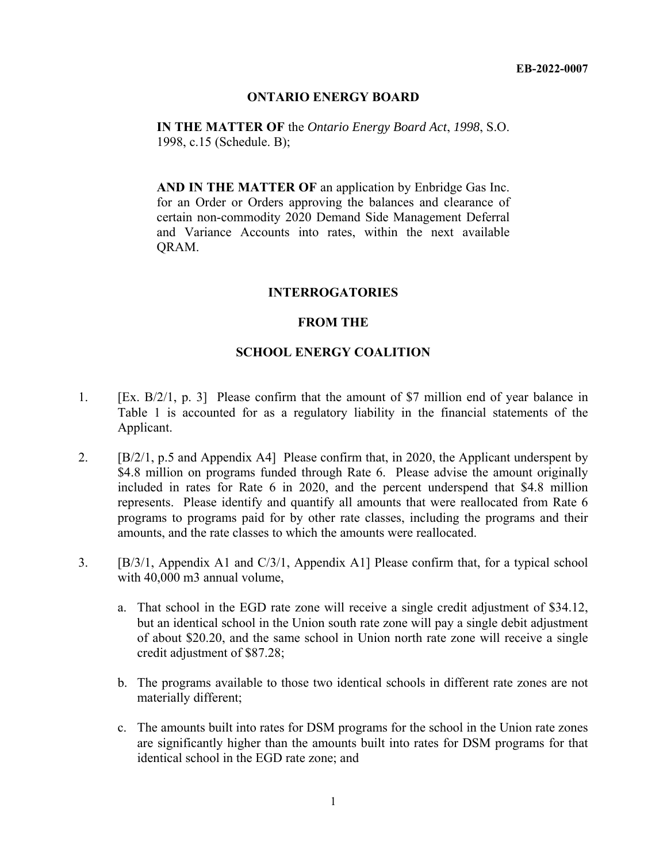## **ONTARIO ENERGY BOARD**

**IN THE MATTER OF** the *Ontario Energy Board Act*, *1998*, S.O. 1998, c.15 (Schedule. B);

**AND IN THE MATTER OF** an application by Enbridge Gas Inc. for an Order or Orders approving the balances and clearance of certain non-commodity 2020 Demand Side Management Deferral and Variance Accounts into rates, within the next available QRAM.

## **INTERROGATORIES**

## **FROM THE**

## **SCHOOL ENERGY COALITION**

- 1. [Ex. B/2/1, p. 3] Please confirm that the amount of \$7 million end of year balance in Table 1 is accounted for as a regulatory liability in the financial statements of the Applicant.
- 2. [B/2/1, p.5 and Appendix A4] Please confirm that, in 2020, the Applicant underspent by \$4.8 million on programs funded through Rate 6. Please advise the amount originally included in rates for Rate 6 in 2020, and the percent underspend that \$4.8 million represents. Please identify and quantify all amounts that were reallocated from Rate 6 programs to programs paid for by other rate classes, including the programs and their amounts, and the rate classes to which the amounts were reallocated.
- 3. [B/3/1, Appendix A1 and C/3/1, Appendix A1] Please confirm that, for a typical school with 40,000 m3 annual volume,
	- a. That school in the EGD rate zone will receive a single credit adjustment of \$34.12, but an identical school in the Union south rate zone will pay a single debit adjustment of about \$20.20, and the same school in Union north rate zone will receive a single credit adjustment of \$87.28;
	- b. The programs available to those two identical schools in different rate zones are not materially different;
	- c. The amounts built into rates for DSM programs for the school in the Union rate zones are significantly higher than the amounts built into rates for DSM programs for that identical school in the EGD rate zone; and